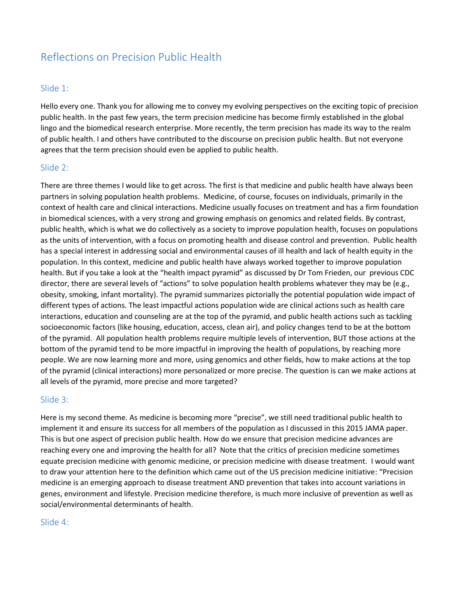# Reflections on Precision Public Health

## Slide 1:

Hello every one. Thank you for allowing me to convey my evolving perspectives on the exciting topic of precision public health. In the past few years, the term precision medicine has become firmly established in the global lingo and the biomedical research enterprise. More recently, the term precision has made its way to the realm of public health. I and others have contributed to the discourse on precision public health. But not everyone agrees that the term precision should even be applied to public health.

#### Slide 2:

There are three themes I would like to get across. The first is that medicine and public health have always been partners in solving population health problems. Medicine, of course, focuses on individuals, primarily in the context of health care and clinical interactions. Medicine usually focuses on treatment and has a firm foundation in biomedical sciences, with a very strong and growing emphasis on genomics and related fields. By contrast, public health, which is what we do collectively as a society to improve population health, focuses on populations as the units of intervention, with a focus on promoting health and disease control and prevention. Public health has a special interest in addressing social and environmental causes of ill health and lack of health equity in the population. In this context, medicine and public health have always worked together to improve population health. But if you take a look at the "health impact pyramid" as discussed by Dr Tom Frieden, our previous CDC director, there are several levels of "actions" to solve population health problems whatever they may be (e.g., obesity, smoking, infant mortality). The pyramid summarizes pictorially the potential population wide impact of different types of actions. The least impactful actions population wide are clinical actions such as health care interactions, education and counseling are at the top of the pyramid, and public health actions such as tackling socioeconomic factors (like housing, education, access, clean air), and policy changes tend to be at the bottom of the pyramid. All population health problems require multiple levels of intervention, BUT those actions at the bottom of the pyramid tend to be more impactful in improving the health of populations, by reaching more people. We are now learning more and more, using genomics and other fields, how to make actions at the top of the pyramid (clinical interactions) more personalized or more precise. The question is can we make actions at all levels of the pyramid, more precise and more targeted?

### Slide 3:

Here is my second theme. As medicine is becoming more "precise", we still need traditional public health to implement it and ensure its success for all members of the population as I discussed in this 2015 JAMA paper. This is but one aspect of precision public health. How do we ensure that precision medicine advances are reaching every one and improving the health for all? Note that the critics of precision medicine sometimes equate precision medicine with genomic medicine, or precision medicine with disease treatment. I would want to draw your attention here to the definition which came out of the US precision medicine initiative: "Precision medicine is an emerging approach to disease treatment AND prevention that takes into account variations in genes, environment and lifestyle. Precision medicine therefore, is much more inclusive of prevention as well as social/environmental determinants of health.

#### Slide 4: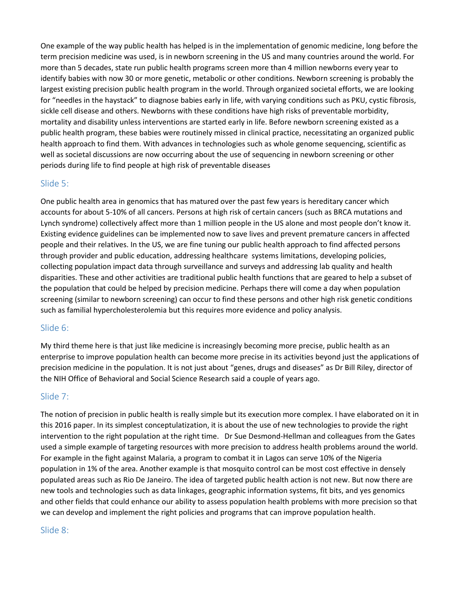One example of the way public health has helped is in the implementation of genomic medicine, long before the term precision medicine was used, is in newborn screening in the US and many countries around the world. For more than 5 decades, state run public health programs screen more than 4 million newborns every year to identify babies with now 30 or more genetic, metabolic or other conditions. Newborn screening is probably the largest existing precision public health program in the world. Through organized societal efforts, we are looking for "needles in the haystack" to diagnose babies early in life, with varying conditions such as PKU, cystic fibrosis, sickle cell disease and others. Newborns with these conditions have high risks of preventable morbidity, mortality and disability unless interventions are started early in life. Before newborn screening existed as a public health program, these babies were routinely missed in clinical practice, necessitating an organized public health approach to find them. With advances in technologies such as whole genome sequencing, scientific as well as societal discussions are now occurring about the use of sequencing in newborn screening or other periods during life to find people at high risk of preventable diseases

## Slide 5:

One public health area in genomics that has matured over the past few years is hereditary cancer which accounts for about 5-10% of all cancers. Persons at high risk of certain cancers (such as BRCA mutations and Lynch syndrome) collectively affect more than 1 million people in the US alone and most people don't know it. Existing evidence guidelines can be implemented now to save lives and prevent premature cancers in affected people and their relatives. In the US, we are fine tuning our public health approach to find affected persons through provider and public education, addressing healthcare systems limitations, developing policies, collecting population impact data through surveillance and surveys and addressing lab quality and health disparities. These and other activities are traditional public health functions that are geared to help a subset of the population that could be helped by precision medicine. Perhaps there will come a day when population screening (similar to newborn screening) can occur to find these persons and other high risk genetic conditions such as familial hypercholesterolemia but this requires more evidence and policy analysis.

### Slide 6:

My third theme here is that just like medicine is increasingly becoming more precise, public health as an enterprise to improve population health can become more precise in its activities beyond just the applications of precision medicine in the population. It is not just about "genes, drugs and diseases" as Dr Bill Riley, director of the NIH Office of Behavioral and Social Science Research said a couple of years ago.

# Slide 7:

The notion of precision in public health is really simple but its execution more complex. I have elaborated on it in this 2016 paper. In its simplest conceptulatization, it is about the use of new technologies to provide the right intervention to the right population at the right time. Dr Sue Desmond-Hellman and colleagues from the Gates used a simple example of targeting resources with more precision to address health problems around the world. For example in the fight against Malaria, a program to combat it in Lagos can serve 10% of the Nigeria population in 1% of the area. Another example is that mosquito control can be most cost effective in densely populated areas such as Rio De Janeiro. The idea of targeted public health action is not new. But now there are new tools and technologies such as data linkages, geographic information systems, fit bits, and yes genomics and other fields that could enhance our ability to assess population health problems with more precision so that we can develop and implement the right policies and programs that can improve population health.

### Slide 8: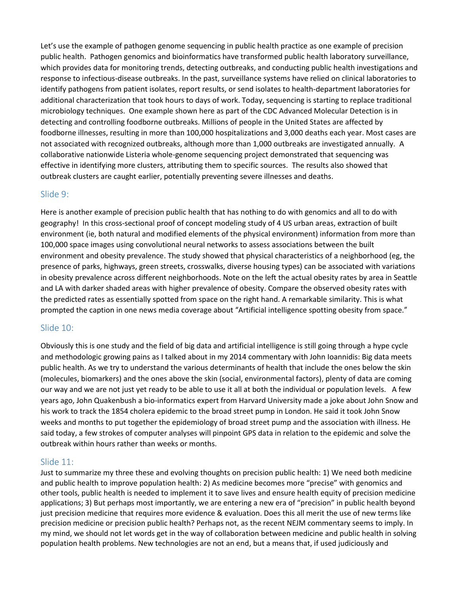Let's use the example of pathogen genome sequencing in public health practice as one example of precision public health. Pathogen genomics and bioinformatics have transformed public health laboratory surveillance, which provides data for monitoring trends, detecting outbreaks, and conducting public health investigations and response to infectious-disease outbreaks. In the past, surveillance systems have relied on clinical laboratories to identify pathogens from patient isolates, report results, or send isolates to health-department laboratories for additional characterization that took hours to days of work. Today, sequencing is starting to replace traditional microbiology techniques. One example shown here as part of the CDC Advanced Molecular Detection is in detecting and controlling foodborne outbreaks. Millions of people in the United States are affected by foodborne illnesses, resulting in more than 100,000 hospitalizations and 3,000 deaths each year. Most cases are not associated with recognized outbreaks, although more than 1,000 outbreaks are investigated annually. A collaborative nationwide Listeria whole-genome sequencing project demonstrated that sequencing was effective in identifying more clusters, attributing them to specific sources. The results also showed that outbreak clusters are caught earlier, potentially preventing severe illnesses and deaths.

### Slide 9:

Here is another example of precision public health that has nothing to do with genomics and all to do with geography! In this cross-sectional proof of concept modeling study of 4 US urban areas, extraction of built environment (ie, both natural and modified elements of the physical environment) information from more than 100,000 space images using convolutional neural networks to assess associations between the built environment and obesity prevalence. The study showed that physical characteristics of a neighborhood (eg, the presence of parks, highways, green streets, crosswalks, diverse housing types) can be associated with variations in obesity prevalence across different neighborhoods. Note on the left the actual obesity rates by area in Seattle and LA with darker shaded areas with higher prevalence of obesity. Compare the observed obesity rates with the predicted rates as essentially spotted from space on the right hand. A remarkable similarity. This is what prompted the caption in one news media coverage about "Artificial intelligence spotting obesity from space."

#### Slide 10:

Obviously this is one study and the field of big data and artificial intelligence is still going through a hype cycle and methodologic growing pains as I talked about in my 2014 commentary with John Ioannidis: Big data meets public health. As we try to understand the various determinants of health that include the ones below the skin (molecules, biomarkers) and the ones above the skin (social, environmental factors), plenty of data are coming our way and we are not just yet ready to be able to use it all at both the individual or population levels. A few years ago, John Quakenbush a bio-informatics expert from Harvard University made a joke about John Snow and his work to track the 1854 cholera epidemic to the broad street pump in London. He said it took John Snow weeks and months to put together the epidemiology of broad street pump and the association with illness. He said today, a few strokes of computer analyses will pinpoint GPS data in relation to the epidemic and solve the outbreak within hours rather than weeks or months.

### Slide 11:

Just to summarize my three these and evolving thoughts on precision public health: 1) We need both medicine and public health to improve population health: 2) As medicine becomes more "precise" with genomics and other tools, public health is needed to implement it to save lives and ensure health equity of precision medicine applications; 3) But perhaps most importantly, we are entering a new era of "precision" in public health beyond just precision medicine that requires more evidence & evaluation. Does this all merit the use of new terms like precision medicine or precision public health? Perhaps not, as the recent NEJM commentary seems to imply. In my mind, we should not let words get in the way of collaboration between medicine and public health in solving population health problems. New technologies are not an end, but a means that, if used judiciously and